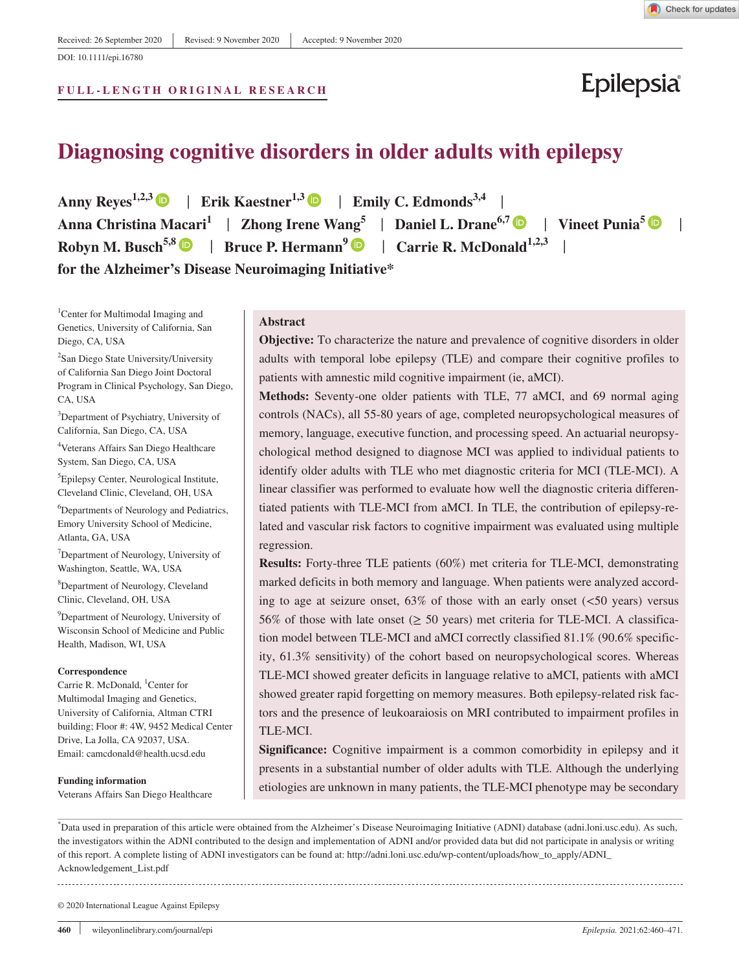#### **FULL-LENGTH ORIGINAL RESEARCH**



# **Diagnosing cognitive disorders in older adults with epilepsy**

Anny Reyes<sup>1,2,[3](https://orcid.org/0000-0003-0625-6990)</sup>  $\bullet$  | Erik Kaestner<sup>1,3</sup>  $\bullet$  | Emily C. Edmonds<sup>3,4</sup> | **Anna Christina Macari1** | **Zhong Irene Wang<sup>5</sup>** | **Daniel L. Drane6,[7](https://orcid.org/0000-0001-8747-672X)** | **Vineet Punia[5](https://orcid.org/0000-0002-0552-6736)** | **Robyn M. Busch<sup>5,[8](https://orcid.org/0000-0002-5442-4912)</sup>**  $\bullet$  **| Bruce P. Hermann<sup>9</sup>**  $\bullet$  **| Carrie R. McDonald<sup>1,2,3</sup> | for the Alzheimer's Disease Neuroimaging Initiative\***

<sup>1</sup>Center for Multimodal Imaging and Genetics, University of California, San Diego, CA, USA

<sup>2</sup>San Diego State University/University of California San Diego Joint Doctoral Program in Clinical Psychology, San Diego, CA, USA

3 Department of Psychiatry, University of California, San Diego, CA, USA

4 Veterans Affairs San Diego Healthcare System, San Diego, CA, USA

5 Epilepsy Center, Neurological Institute, Cleveland Clinic, Cleveland, OH, USA

6 Departments of Neurology and Pediatrics, Emory University School of Medicine, Atlanta, GA, USA

7 Department of Neurology, University of Washington, Seattle, WA, USA

8 Department of Neurology, Cleveland Clinic, Cleveland, OH, USA

9 Department of Neurology, University of Wisconsin School of Medicine and Public Health, Madison, WI, USA

#### **Correspondence**

Carrie R. McDonald, <sup>1</sup>Center for Multimodal Imaging and Genetics, University of California, Altman CTRI building; Floor #: 4W, 9452 Medical Center Drive, La Jolla, CA 92037, USA. Email: [camcdonald@health.ucsd.edu](mailto:camcdonald@health.ucsd.edu)

#### **Funding information**

Veterans Affairs San Diego Healthcare

#### **Abstract**

**Objective:** To characterize the nature and prevalence of cognitive disorders in older adults with temporal lobe epilepsy (TLE) and compare their cognitive profiles to patients with amnestic mild cognitive impairment (ie, aMCI).

**Methods:** Seventy-one older patients with TLE, 77 aMCI, and 69 normal aging controls (NACs), all 55-80 years of age, completed neuropsychological measures of memory, language, executive function, and processing speed. An actuarial neuropsychological method designed to diagnose MCI was applied to individual patients to identify older adults with TLE who met diagnostic criteria for MCI (TLE-MCI). A linear classifier was performed to evaluate how well the diagnostic criteria differentiated patients with TLE-MCI from aMCI. In TLE, the contribution of epilepsy-related and vascular risk factors to cognitive impairment was evaluated using multiple regression.

**Results:** Forty-three TLE patients (60%) met criteria for TLE-MCI, demonstrating marked deficits in both memory and language. When patients were analyzed according to age at seizure onset,  $63\%$  of those with an early onset ( $\lt 50$  years) versus 56% of those with late onset ( $\geq$  50 years) met criteria for TLE-MCI. A classification model between TLE-MCI and aMCI correctly classified 81.1% (90.6% specificity, 61.3% sensitivity) of the cohort based on neuropsychological scores. Whereas TLE-MCI showed greater deficits in language relative to aMCI, patients with aMCI showed greater rapid forgetting on memory measures. Both epilepsy-related risk factors and the presence of leukoaraiosis on MRI contributed to impairment profiles in TLE-MCI.

**Significance:** Cognitive impairment is a common comorbidity in epilepsy and it presents in a substantial number of older adults with TLE. Although the underlying etiologies are unknown in many patients, the TLE-MCI phenotype may be secondary

\* Data used in preparation of this article were obtained from the Alzheimer's Disease Neuroimaging Initiative (ADNI) database (adni.loni.usc.edu). As such, the investigators within the ADNI contributed to the design and implementation of ADNI and/or provided data but did not participate in analysis or writing of this report. A complete listing of ADNI investigators can be found at: http://adni.loni.usc.edu/wp-content/uploads/how\_to\_apply/ADNI\_ Acknowledgement\_List.pdf

© 2020 International League Against Epilepsy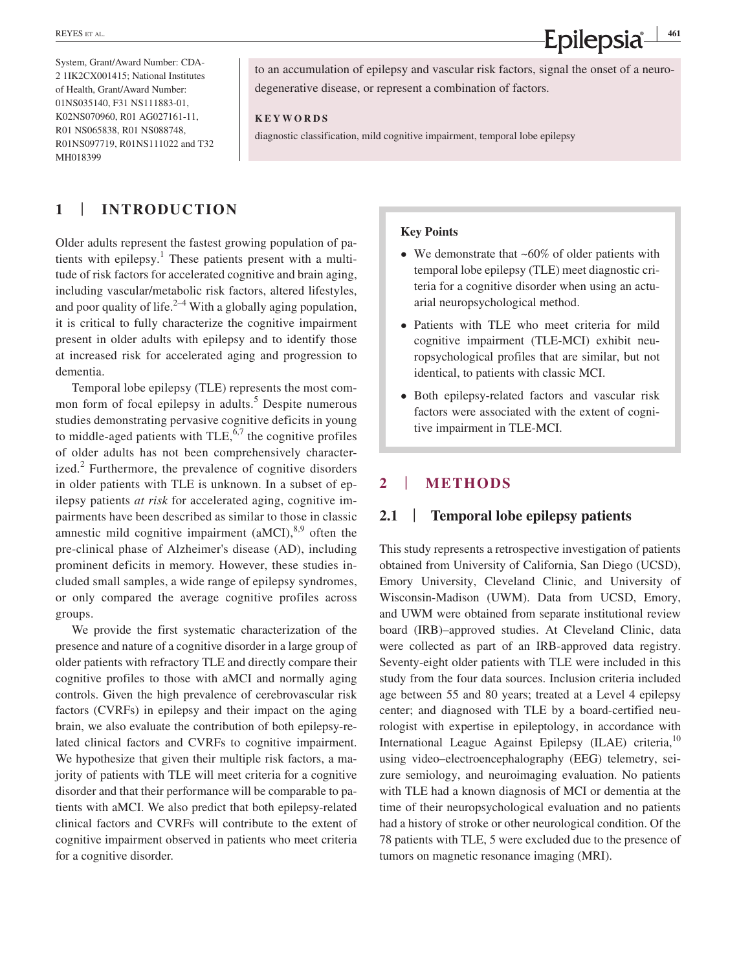System, Grant/Award Number: CDA-2 1IK2CX001415; National Institutes of Health, Grant/Award Number: 01NS035140, F31 NS111883-01, K02NS070960, R01 AG027161-11, R01 NS065838, R01 NS088748, R01NS097719, R01NS111022 and T32 MH018399

to an accumulation of epilepsy and vascular risk factors, signal the onset of a neurodegenerative disease, or represent a combination of factors.

#### **KEYWORDS**

diagnostic classification, mild cognitive impairment, temporal lobe epilepsy

### **1** | **INTRODUCTION**

Older adults represent the fastest growing population of patients with epilepsy.<sup>1</sup> These patients present with a multitude of risk factors for accelerated cognitive and brain aging, including vascular/metabolic risk factors, altered lifestyles, and poor quality of life.<sup> $2-4$ </sup> With a globally aging population, it is critical to fully characterize the cognitive impairment present in older adults with epilepsy and to identify those at increased risk for accelerated aging and progression to dementia.

Temporal lobe epilepsy (TLE) represents the most common form of focal epilepsy in adults.<sup>5</sup> Despite numerous studies demonstrating pervasive cognitive deficits in young to middle-aged patients with TLE,  $6,7$  the cognitive profiles of older adults has not been comprehensively characterized. $2$  Furthermore, the prevalence of cognitive disorders in older patients with TLE is unknown. In a subset of epilepsy patients *at risk* for accelerated aging, cognitive impairments have been described as similar to those in classic amnestic mild cognitive impairment  $(aMCI)$ ,  $8.9$  often the pre-clinical phase of Alzheimer's disease (AD), including prominent deficits in memory. However, these studies included small samples, a wide range of epilepsy syndromes, or only compared the average cognitive profiles across groups.

We provide the first systematic characterization of the presence and nature of a cognitive disorder in a large group of older patients with refractory TLE and directly compare their cognitive profiles to those with aMCI and normally aging controls. Given the high prevalence of cerebrovascular risk factors (CVRFs) in epilepsy and their impact on the aging brain, we also evaluate the contribution of both epilepsy-related clinical factors and CVRFs to cognitive impairment. We hypothesize that given their multiple risk factors, a majority of patients with TLE will meet criteria for a cognitive disorder and that their performance will be comparable to patients with aMCI. We also predict that both epilepsy-related clinical factors and CVRFs will contribute to the extent of cognitive impairment observed in patients who meet criteria for a cognitive disorder.

#### **Key Points**

- We demonstrate that ~60% of older patients with temporal lobe epilepsy (TLE) meet diagnostic criteria for a cognitive disorder when using an actuarial neuropsychological method.
- Patients with TLE who meet criteria for mild cognitive impairment (TLE-MCI) exhibit neuropsychological profiles that are similar, but not identical, to patients with classic MCI.
- Both epilepsy-related factors and vascular risk factors were associated with the extent of cognitive impairment in TLE-MCI.

#### **2** | **METHODS**

### **2.1** | **Temporal lobe epilepsy patients**

This study represents a retrospective investigation of patients obtained from University of California, San Diego (UCSD), Emory University, Cleveland Clinic, and University of Wisconsin-Madison (UWM). Data from UCSD, Emory, and UWM were obtained from separate institutional review board (IRB)–approved studies. At Cleveland Clinic, data were collected as part of an IRB-approved data registry. Seventy-eight older patients with TLE were included in this study from the four data sources. Inclusion criteria included age between 55 and 80 years; treated at a Level 4 epilepsy center; and diagnosed with TLE by a board-certified neurologist with expertise in epileptology, in accordance with International League Against Epilepsy (ILAE) criteria,<sup>10</sup> using video–electroencephalography (EEG) telemetry, seizure semiology, and neuroimaging evaluation. No patients with TLE had a known diagnosis of MCI or dementia at the time of their neuropsychological evaluation and no patients had a history of stroke or other neurological condition. Of the 78 patients with TLE, 5 were excluded due to the presence of tumors on magnetic resonance imaging (MRI).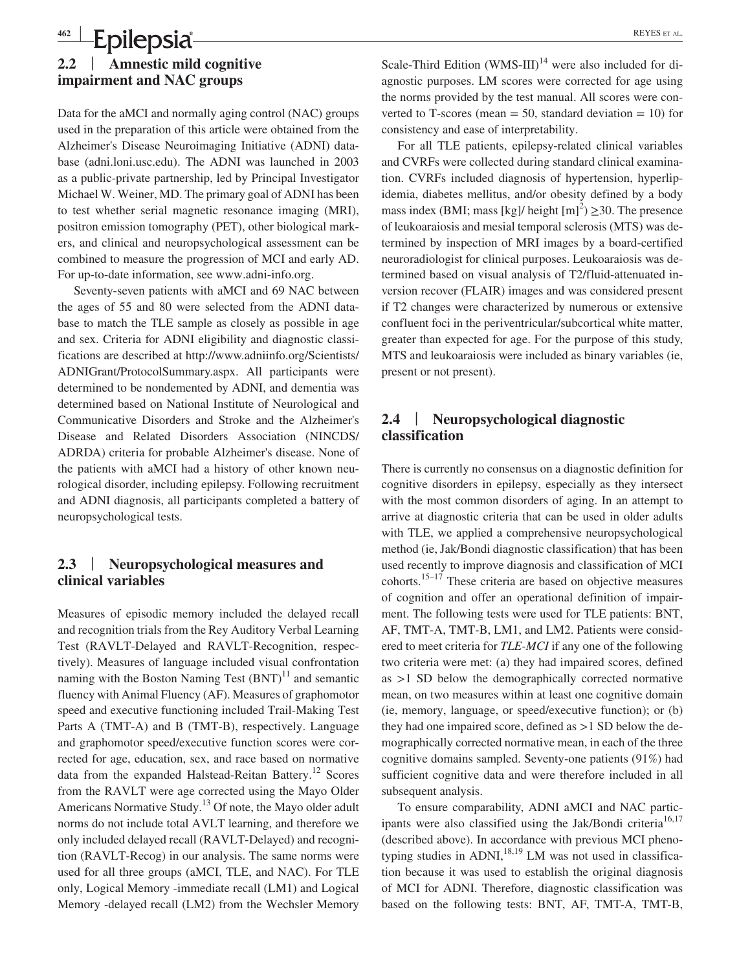### **<sup>462</sup> <sup>|</sup> Epilepsia REYES ET AL. 2.2** | **Amnestic mild cognitive impairment and NAC groups**

Data for the aMCI and normally aging control (NAC) groups used in the preparation of this article were obtained from the Alzheimer's Disease Neuroimaging Initiative (ADNI) database (adni.loni.usc.edu). The ADNI was launched in 2003 as a public-private partnership, led by Principal Investigator Michael W. Weiner, MD. The primary goal of ADNI has been to test whether serial magnetic resonance imaging (MRI), positron emission tomography (PET), other biological markers, and clinical and neuropsychological assessment can be combined to measure the progression of MCI and early AD. For up-to-date information, see [www.adni-info.org.](http://www.adni-info.org)

Seventy-seven patients with aMCI and 69 NAC between the ages of 55 and 80 were selected from the ADNI database to match the TLE sample as closely as possible in age and sex. Criteria for ADNI eligibility and diagnostic classifications are described at [http://www.adniinfo.org/Scientists/](http://www.adniinfo.org/Scientists/ADNIGrant/ProtocolSummary.aspx) [ADNIGrant/ProtocolSummary.aspx.](http://www.adniinfo.org/Scientists/ADNIGrant/ProtocolSummary.aspx) All participants were determined to be nondemented by ADNI, and dementia was determined based on National Institute of Neurological and Communicative Disorders and Stroke and the Alzheimer's Disease and Related Disorders Association (NINCDS/ ADRDA) criteria for probable Alzheimer's disease. None of the patients with aMCI had a history of other known neurological disorder, including epilepsy. Following recruitment and ADNI diagnosis, all participants completed a battery of neuropsychological tests.

### **2.3** | **Neuropsychological measures and clinical variables**

Measures of episodic memory included the delayed recall and recognition trials from the Rey Auditory Verbal Learning Test (RAVLT-Delayed and RAVLT-Recognition, respectively). Measures of language included visual confrontation naming with the Boston Naming Test  $(BNT)^{11}$  and semantic fluency with Animal Fluency (AF). Measures of graphomotor speed and executive functioning included Trail-Making Test Parts A (TMT-A) and B (TMT-B), respectively. Language and graphomotor speed/executive function scores were corrected for age, education, sex, and race based on normative data from the expanded Halstead-Reitan Battery.<sup>12</sup> Scores from the RAVLT were age corrected using the Mayo Older Americans Normative Study.<sup>13</sup> Of note, the Mayo older adult norms do not include total AVLT learning, and therefore we only included delayed recall (RAVLT-Delayed) and recognition (RAVLT-Recog) in our analysis. The same norms were used for all three groups (aMCI, TLE, and NAC). For TLE only, Logical Memory -immediate recall (LM1) and Logical Memory -delayed recall (LM2) from the Wechsler Memory

Scale-Third Edition (WMS-III)<sup>14</sup> were also included for diagnostic purposes. LM scores were corrected for age using the norms provided by the test manual. All scores were converted to T-scores (mean  $= 50$ , standard deviation  $= 10$ ) for consistency and ease of interpretability.

For all TLE patients, epilepsy-related clinical variables and CVRFs were collected during standard clinical examination. CVRFs included diagnosis of hypertension, hyperlipidemia, diabetes mellitus, and/or obesity defined by a body mass index (BMI; mass [kg]/ height  $[m]^2$ )  $\geq$ 30. The presence of leukoaraiosis and mesial temporal sclerosis (MTS) was determined by inspection of MRI images by a board-certified neuroradiologist for clinical purposes. Leukoaraiosis was determined based on visual analysis of T2/fluid-attenuated inversion recover (FLAIR) images and was considered present if T2 changes were characterized by numerous or extensive confluent foci in the periventricular/subcortical white matter, greater than expected for age. For the purpose of this study, MTS and leukoaraiosis were included as binary variables (ie, present or not present).

### **2.4** | **Neuropsychological diagnostic classification**

There is currently no consensus on a diagnostic definition for cognitive disorders in epilepsy, especially as they intersect with the most common disorders of aging. In an attempt to arrive at diagnostic criteria that can be used in older adults with TLE, we applied a comprehensive neuropsychological method (ie, Jak/Bondi diagnostic classification) that has been used recently to improve diagnosis and classification of MCI cohorts.15–17 These criteria are based on objective measures of cognition and offer an operational definition of impairment. The following tests were used for TLE patients: BNT, AF, TMT-A, TMT-B, LM1, and LM2. Patients were considered to meet criteria for *TLE-MCI* if any one of the following two criteria were met: (a) they had impaired scores, defined as >1 SD below the demographically corrected normative mean, on two measures within at least one cognitive domain (ie, memory, language, or speed/executive function); or (b) they had one impaired score, defined as >1 SD below the demographically corrected normative mean, in each of the three cognitive domains sampled. Seventy-one patients (91%) had sufficient cognitive data and were therefore included in all subsequent analysis.

To ensure comparability, ADNI aMCI and NAC participants were also classified using the Jak/Bondi criteria<sup>16,17</sup> (described above). In accordance with previous MCI phenotyping studies in ADNI, $^{18,19}$  LM was not used in classification because it was used to establish the original diagnosis of MCI for ADNI. Therefore, diagnostic classification was based on the following tests: BNT, AF, TMT-A, TMT-B,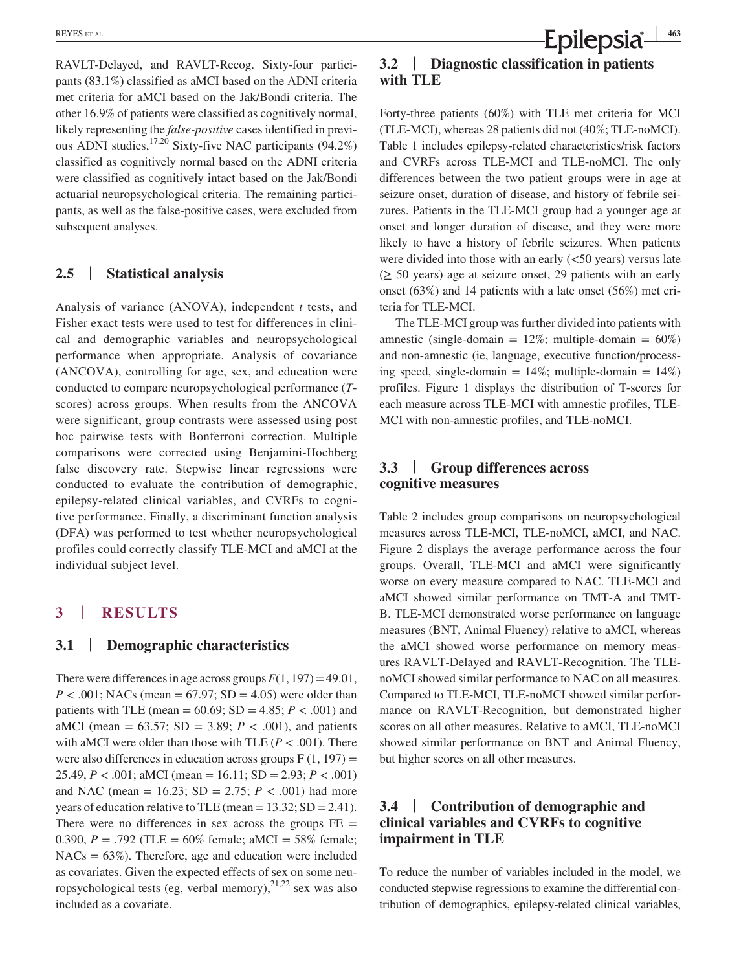RAVLT-Delayed, and RAVLT-Recog. Sixty-four participants (83.1%) classified as aMCI based on the ADNI criteria met criteria for aMCI based on the Jak/Bondi criteria. The other 16.9% of patients were classified as cognitively normal, likely representing the *false-positive* cases identified in previous ADNI studies,17,20 Sixty-five NAC participants (94.2%) classified as cognitively normal based on the ADNI criteria were classified as cognitively intact based on the Jak/Bondi actuarial neuropsychological criteria. The remaining participants, as well as the false-positive cases, were excluded from subsequent analyses.

### **2.5** | **Statistical analysis**

Analysis of variance (ANOVA), independent *t* tests, and Fisher exact tests were used to test for differences in clinical and demographic variables and neuropsychological performance when appropriate. Analysis of covariance (ANCOVA), controlling for age, sex, and education were conducted to compare neuropsychological performance (*T*scores) across groups. When results from the ANCOVA were significant, group contrasts were assessed using post hoc pairwise tests with Bonferroni correction. Multiple comparisons were corrected using Benjamini-Hochberg false discovery rate. Stepwise linear regressions were conducted to evaluate the contribution of demographic, epilepsy-related clinical variables, and CVRFs to cognitive performance. Finally, a discriminant function analysis (DFA) was performed to test whether neuropsychological profiles could correctly classify TLE-MCI and aMCI at the individual subject level.

#### **3** | **RESULTS**

#### **3.1** | **Demographic characteristics**

There were differences in age across groups  $F(1, 197) = 49.01$ , *P* < .001; NACs (mean = 67.97; SD = 4.05) were older than patients with TLE (mean =  $60.69$ ; SD =  $4.85$ ;  $P < .001$ ) and aMCI (mean =  $63.57$ ; SD =  $3.89$ ;  $P < .001$ ), and patients with aMCI were older than those with TLE  $(P < .001)$ . There were also differences in education across groups  $F(1, 197) =$ 25.49, *P* < .001; aMCI (mean = 16.11; SD = 2.93; *P* < .001) and NAC (mean = 16.23;  $SD = 2.75$ ;  $P < .001$ ) had more years of education relative to TLE (mean =  $13.32$ ; SD =  $2.41$ ). There were no differences in sex across the groups  $FE =$ 0.390, *P* = .792 (TLE = 60% female; aMCI = 58% female;  $NACs = 63\%)$ . Therefore, age and education were included as covariates. Given the expected effects of sex on some neuropsychological tests (eg, verbal memory),<sup>21,22</sup> sex was also included as a covariate.

**3.2** | **Diagnostic classification in patients with TLE**

Forty-three patients (60%) with TLE met criteria for MCI (TLE-MCI), whereas 28 patients did not (40%; TLE-noMCI). Table 1 includes epilepsy-related characteristics/risk factors and CVRFs across TLE-MCI and TLE-noMCI. The only differences between the two patient groups were in age at seizure onset, duration of disease, and history of febrile seizures. Patients in the TLE-MCI group had a younger age at onset and longer duration of disease, and they were more likely to have a history of febrile seizures. When patients were divided into those with an early  $(<50$  years) versus late  $(\geq 50$  years) age at seizure onset, 29 patients with an early onset (63%) and 14 patients with a late onset (56%) met criteria for TLE-MCI.

The TLE-MCI group was further divided into patients with amnestic (single-domain  $= 12\%$ ; multiple-domain  $= 60\%$ ) and non-amnestic (ie, language, executive function/processing speed, single-domain  $= 14\%$ ; multiple-domain  $= 14\%$ ) profiles. Figure 1 displays the distribution of T-scores for each measure across TLE-MCI with amnestic profiles, TLE-MCI with non-amnestic profiles, and TLE-noMCI.

#### **3.3** | **Group differences across cognitive measures**

Table 2 includes group comparisons on neuropsychological measures across TLE-MCI, TLE-noMCI, aMCI, and NAC. Figure 2 displays the average performance across the four groups. Overall, TLE-MCI and aMCI were significantly worse on every measure compared to NAC. TLE-MCI and aMCI showed similar performance on TMT-A and TMT-B. TLE-MCI demonstrated worse performance on language measures (BNT, Animal Fluency) relative to aMCI, whereas the aMCI showed worse performance on memory measures RAVLT-Delayed and RAVLT-Recognition. The TLEnoMCI showed similar performance to NAC on all measures. Compared to TLE-MCI, TLE-noMCI showed similar performance on RAVLT-Recognition, but demonstrated higher scores on all other measures. Relative to aMCI, TLE-noMCI showed similar performance on BNT and Animal Fluency, but higher scores on all other measures.

### **3.4** | **Contribution of demographic and clinical variables and CVRFs to cognitive impairment in TLE**

To reduce the number of variables included in the model, we conducted stepwise regressions to examine the differential contribution of demographics, epilepsy-related clinical variables,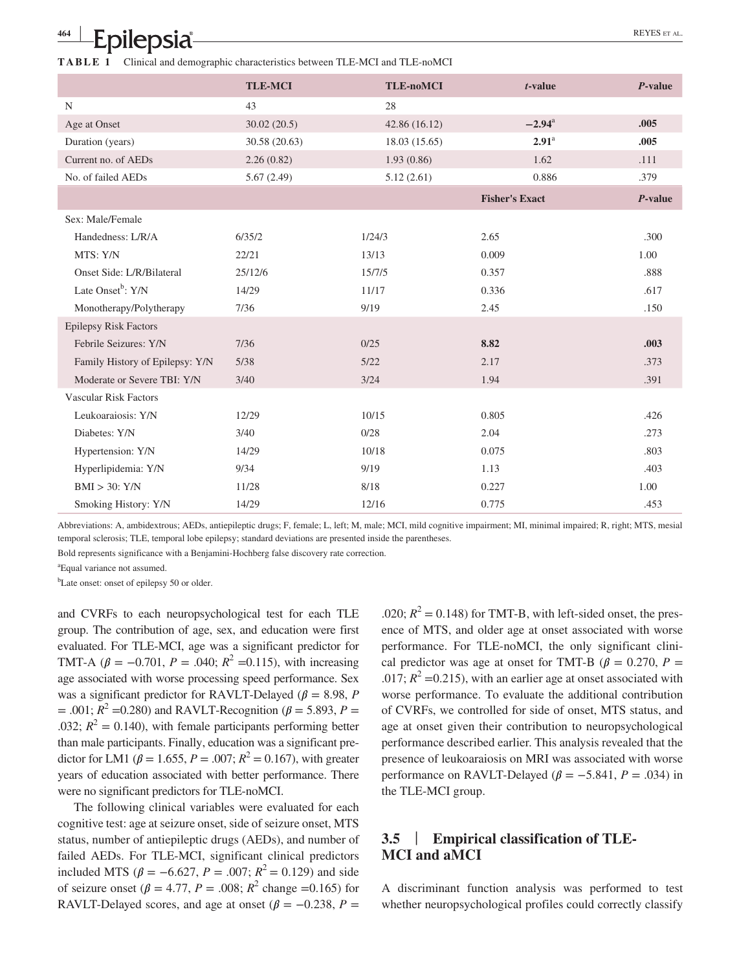|  | <b>TABLE 1</b> Clinical and demographic characteristics between TLE-MCI and TLE-noMCI |  |  |
|--|---------------------------------------------------------------------------------------|--|--|

|                                 | <b>TLE-MCI</b> | <b>TLE-noMCI</b> | $t$ -value            | $P$ -value |
|---------------------------------|----------------|------------------|-----------------------|------------|
| N                               | 43             | 28               |                       |            |
| Age at Onset                    | 30.02(20.5)    | 42.86 (16.12)    | $-2.94^{\rm a}$       | .005       |
| Duration (years)                | 30.58 (20.63)  | 18.03(15.65)     | $2.91$ <sup>a</sup>   | .005       |
| Current no. of AEDs             | 2.26(0.82)     | 1.93(0.86)       | 1.62                  | .111       |
| No. of failed AEDs              | 5.67(2.49)     | 5.12(2.61)       | 0.886                 | .379       |
|                                 |                |                  | <b>Fisher's Exact</b> | $P$ -value |
| Sex: Male/Female                |                |                  |                       |            |
| Handedness: L/R/A               | 6/35/2         | 1/24/3           | 2.65                  | .300       |
| MTS: Y/N                        | 22/21          | 13/13            | 0.009                 | 1.00       |
| Onset Side: L/R/Bilateral       | 25/12/6        | 15/7/5           | 0.357                 | .888       |
| Late Onset <sup>b</sup> : Y/N   | 14/29          | 11/17            | 0.336                 | .617       |
| Monotherapy/Polytherapy         | 7/36           | 9/19             | 2.45                  | .150       |
| <b>Epilepsy Risk Factors</b>    |                |                  |                       |            |
| Febrile Seizures: Y/N           | 7/36           | 0/25             | 8.82                  | .003       |
| Family History of Epilepsy: Y/N | 5/38           | 5/22             | 2.17                  | .373       |
| Moderate or Severe TBI: Y/N     | 3/40           | 3/24             | 1.94                  | .391       |
| <b>Vascular Risk Factors</b>    |                |                  |                       |            |
| Leukoaraiosis: Y/N              | 12/29          | 10/15            | 0.805                 | .426       |
| Diabetes: Y/N                   | 3/40           | 0/28             | 2.04                  | .273       |
| Hypertension: Y/N               | 14/29          | 10/18            | 0.075                 | .803       |
| Hyperlipidemia: Y/N             | 9/34           | 9/19             | 1.13                  | .403       |
| $BMI > 30$ : Y/N                | 11/28          | 8/18             | 0.227                 | 1.00       |
| Smoking History: Y/N            | 14/29          | 12/16            | 0.775                 | .453       |

Abbreviations: A, ambidextrous; AEDs, antiepileptic drugs; F, female; L, left; M, male; MCI, mild cognitive impairment; MI, minimal impaired; R, right; MTS, mesial temporal sclerosis; TLE, temporal lobe epilepsy; standard deviations are presented inside the parentheses.

Bold represents significance with a Benjamini-Hochberg false discovery rate correction.

a Equal variance not assumed.

**<sup>464</sup> <sup>|</sup>**

<sup>b</sup>Late onset: onset of epilepsy 50 or older.

and CVRFs to each neuropsychological test for each TLE group. The contribution of age, sex, and education were first evaluated. For TLE-MCI, age was a significant predictor for TMT-A ( $\beta = -0.701$ ,  $P = .040$ ;  $R^2 = 0.115$ ), with increasing age associated with worse processing speed performance. Sex was a significant predictor for RAVLT-Delayed ( $\beta$  = 8.98, *P*  $= .001; R^2 = 0.280$  and RAVLT-Recognition ( $\beta = 5.893, P =$ .032;  $R^2 = 0.140$ ), with female participants performing better than male participants. Finally, education was a significant predictor for LM1 ( $\beta$  = 1.655, *P* = .007;  $R^2$  = 0.167), with greater years of education associated with better performance. There were no significant predictors for TLE-noMCI.

The following clinical variables were evaluated for each cognitive test: age at seizure onset, side of seizure onset, MTS status, number of antiepileptic drugs (AEDs), and number of failed AEDs. For TLE-MCI, significant clinical predictors included MTS ( $\beta = -6.627$ ,  $P = .007$ ;  $R^2 = 0.129$ ) and side of seizure onset ( $\beta = 4.77$ ,  $P = .008$ ;  $R^2$  change =0.165) for RAVLT-Delayed scores, and age at onset ( $\beta = -0.238$ ,  $P =$ 

.020;  $R^2 = 0.148$ ) for TMT-B, with left-sided onset, the presence of MTS, and older age at onset associated with worse performance. For TLE-noMCI, the only significant clinical predictor was age at onset for TMT-B ( $\beta$  = 0.270, P = .017;  $R^2$  =0.215), with an earlier age at onset associated with worse performance. To evaluate the additional contribution of CVRFs, we controlled for side of onset, MTS status, and age at onset given their contribution to neuropsychological performance described earlier. This analysis revealed that the presence of leukoaraiosis on MRI was associated with worse performance on RAVLT-Delayed ( $\beta = -5.841$ ,  $P = .034$ ) in the TLE-MCI group.

## **3.5** | **Empirical classification of TLE-MCI and aMCI**

A discriminant function analysis was performed to test whether neuropsychological profiles could correctly classify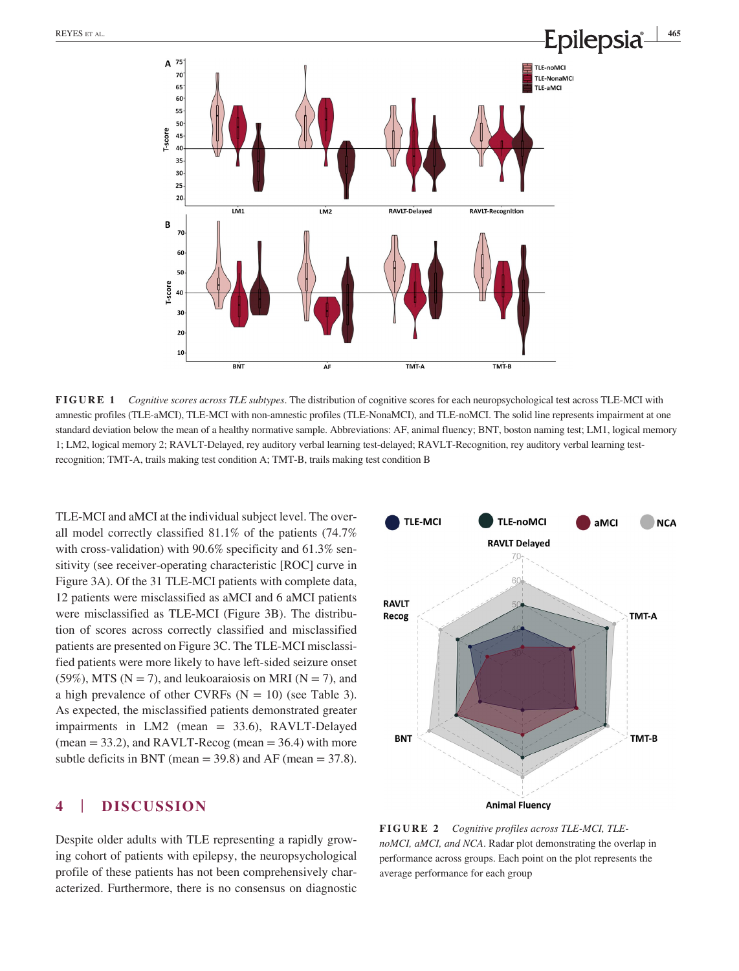

**FIGURE 1** *Cognitive scores across TLE subtypes*. The distribution of cognitive scores for each neuropsychological test across TLE-MCI with amnestic profiles (TLE-aMCI), TLE-MCI with non-amnestic profiles (TLE-NonaMCI), and TLE-noMCI. The solid line represents impairment at one standard deviation below the mean of a healthy normative sample. Abbreviations: AF, animal fluency; BNT, boston naming test; LM1, logical memory 1; LM2, logical memory 2; RAVLT-Delayed, rey auditory verbal learning test-delayed; RAVLT-Recognition, rey auditory verbal learning testrecognition; TMT-A, trails making test condition A; TMT-B, trails making test condition B

TLE-MCI and aMCI at the individual subject level. The overall model correctly classified 81.1% of the patients (74.7% with cross-validation) with 90.6% specificity and 61.3% sensitivity (see receiver-operating characteristic [ROC] curve in Figure 3A). Of the 31 TLE-MCI patients with complete data, 12 patients were misclassified as aMCI and 6 aMCI patients were misclassified as TLE-MCI (Figure 3B). The distribution of scores across correctly classified and misclassified patients are presented on Figure 3C. The TLE-MCI misclassified patients were more likely to have left-sided seizure onset (59%), MTS ( $N = 7$ ), and leukoaraiosis on MRI ( $N = 7$ ), and a high prevalence of other CVRFs  $(N = 10)$  (see Table 3). As expected, the misclassified patients demonstrated greater impairments in LM2 (mean = 33.6), RAVLT-Delayed  $(mean = 33.2)$ , and RAVLT-Recog  $(mean = 36.4)$  with more subtle deficits in BNT (mean  $=$  39.8) and AF (mean  $=$  37.8).

### **4** | **DISCUSSION**

Despite older adults with TLE representing a rapidly growing cohort of patients with epilepsy, the neuropsychological profile of these patients has not been comprehensively characterized. Furthermore, there is no consensus on diagnostic



**FIGURE 2** *Cognitive profiles across TLE-MCI, TLEnoMCI, aMCI, and NCA*. Radar plot demonstrating the overlap in performance across groups. Each point on the plot represents the average performance for each group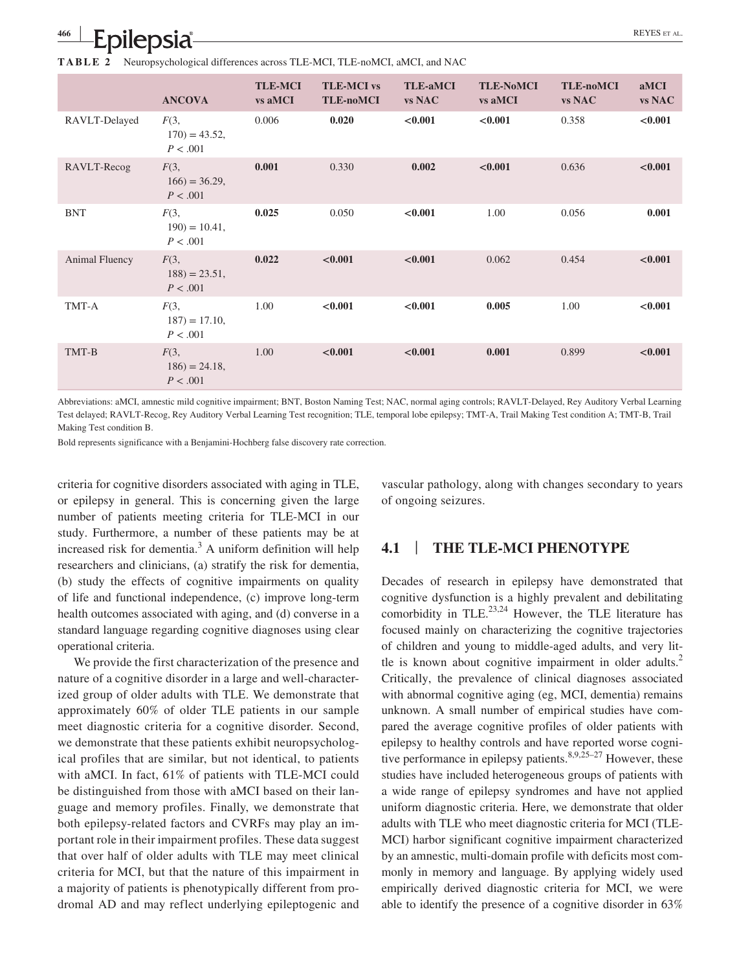**<sup>466</sup> <sup>|</sup>** Epilepsia<sup>n</sup>

**TABLE 2** Neuropsychological differences across TLE-MCI, TLE-noMCI, aMCI, and NAC

|                | <b>ANCOVA</b>                        | <b>TLE-MCI</b><br>vs aMCI | <b>TLE-MCI</b> vs<br><b>TLE-noMCI</b> | <b>TLE-aMCI</b><br><b>vs NAC</b> | <b>TLE-NoMCI</b><br>vs aMCI | <b>TLE-noMCI</b><br><b>vs NAC</b> | aMCI<br><b>vs NAC</b> |
|----------------|--------------------------------------|---------------------------|---------------------------------------|----------------------------------|-----------------------------|-----------------------------------|-----------------------|
| RAVLT-Delayed  | F(3,<br>$170) = 43.52,$<br>P < .001  | 0.006                     | 0.020                                 | < 0.001                          | < 0.001                     | 0.358                             | < 0.001               |
| RAVLT-Recog    | F(3,<br>$166$ ) = 36.29,<br>P < .001 | 0.001                     | 0.330                                 | 0.002                            | < 0.001                     | 0.636                             | < 0.001               |
| <b>BNT</b>     | F(3,<br>$190 = 10.41$ ,<br>P < .001  | 0.025                     | 0.050                                 | < 0.001                          | 1.00                        | 0.056                             | 0.001                 |
| Animal Fluency | F(3,<br>$188$ ) = 23.51,<br>P < .001 | 0.022                     | < 0.001                               | < 0.001                          | 0.062                       | 0.454                             | < 0.001               |
| TMT-A          | F(3,<br>$187) = 17.10$ ,<br>P < .001 | 1.00                      | < 0.001                               | < 0.001                          | 0.005                       | 1.00                              | < 0.001               |
| TMT-B          | F(3,<br>$186$ ) = 24.18,<br>P < .001 | 1.00                      | < 0.001                               | < 0.001                          | 0.001                       | 0.899                             | < 0.001               |

Abbreviations: aMCI, amnestic mild cognitive impairment; BNT, Boston Naming Test; NAC, normal aging controls; RAVLT-Delayed, Rey Auditory Verbal Learning Test delayed; RAVLT-Recog, Rey Auditory Verbal Learning Test recognition; TLE, temporal lobe epilepsy; TMT-A, Trail Making Test condition A; TMT-B, Trail Making Test condition B.

Bold represents significance with a Benjamini-Hochberg false discovery rate correction.

criteria for cognitive disorders associated with aging in TLE, or epilepsy in general. This is concerning given the large number of patients meeting criteria for TLE-MCI in our study. Furthermore, a number of these patients may be at increased risk for dementia.<sup>3</sup> A uniform definition will help researchers and clinicians, (a) stratify the risk for dementia, (b) study the effects of cognitive impairments on quality of life and functional independence, (c) improve long-term health outcomes associated with aging, and (d) converse in a standard language regarding cognitive diagnoses using clear operational criteria.

We provide the first characterization of the presence and nature of a cognitive disorder in a large and well-characterized group of older adults with TLE. We demonstrate that approximately 60% of older TLE patients in our sample meet diagnostic criteria for a cognitive disorder. Second, we demonstrate that these patients exhibit neuropsychological profiles that are similar, but not identical, to patients with aMCI. In fact, 61% of patients with TLE-MCI could be distinguished from those with aMCI based on their language and memory profiles. Finally, we demonstrate that both epilepsy-related factors and CVRFs may play an important role in their impairment profiles. These data suggest that over half of older adults with TLE may meet clinical criteria for MCI, but that the nature of this impairment in a majority of patients is phenotypically different from prodromal AD and may reflect underlying epileptogenic and vascular pathology, along with changes secondary to years of ongoing seizures.

#### **4.1** | **THE TLE-MCI PHENOTYPE**

Decades of research in epilepsy have demonstrated that cognitive dysfunction is a highly prevalent and debilitating comorbidity in TLE.<sup>23,24</sup> However, the TLE literature has focused mainly on characterizing the cognitive trajectories of children and young to middle-aged adults, and very little is known about cognitive impairment in older adults. $2$ Critically, the prevalence of clinical diagnoses associated with abnormal cognitive aging (eg, MCI, dementia) remains unknown. A small number of empirical studies have compared the average cognitive profiles of older patients with epilepsy to healthy controls and have reported worse cognitive performance in epilepsy patients. $8,9,25-27$  However, these studies have included heterogeneous groups of patients with a wide range of epilepsy syndromes and have not applied uniform diagnostic criteria. Here, we demonstrate that older adults with TLE who meet diagnostic criteria for MCI (TLE-MCI) harbor significant cognitive impairment characterized by an amnestic, multi-domain profile with deficits most commonly in memory and language. By applying widely used empirically derived diagnostic criteria for MCI, we were able to identify the presence of a cognitive disorder in 63%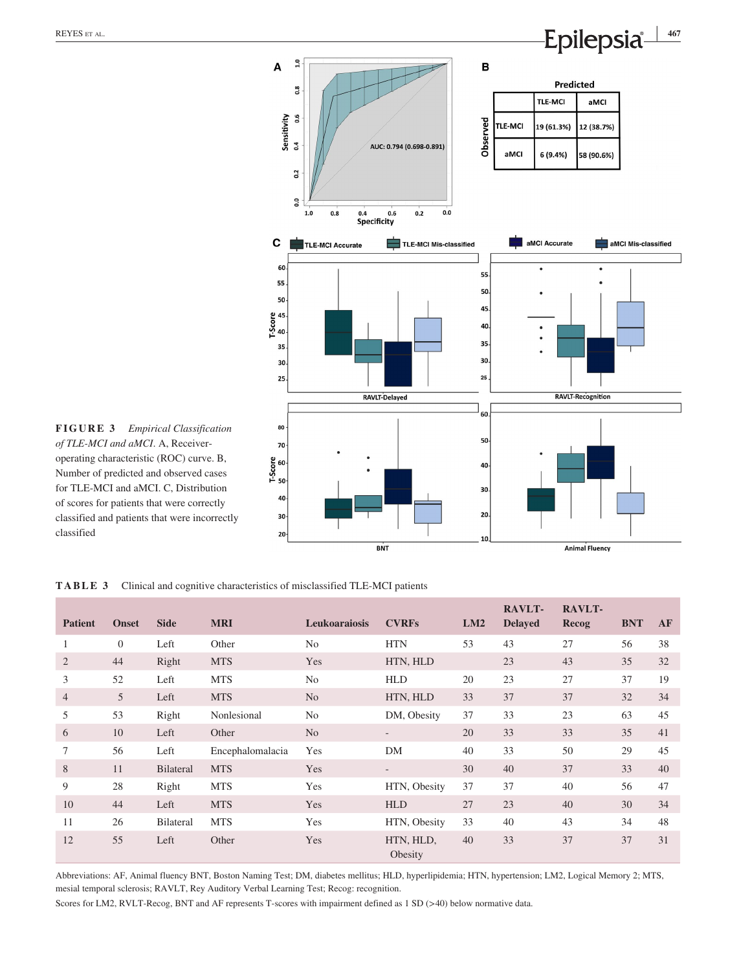

**FIGURE 3** *Empirical Classification of TLE-MCI and aMCI*. A, Receiveroperating characteristic (ROC) curve. B, Number of predicted and observed cases for TLE-MCI and aMCI. C, Distribution of scores for patients that were correctly classified and patients that were incorrectly classified

**TABLE 3** Clinical and cognitive characteristics of misclassified TLE-MCI patients

| <b>Patient</b> | <b>Onset</b> | <b>Side</b>      | <b>MRI</b>       | <b>Leukoaraiosis</b> | <b>CVRFs</b>             | LM2 | <b>RAVLT-</b><br><b>Delayed</b> | <b>RAVLT-</b><br>Recog | <b>BNT</b> | AF |
|----------------|--------------|------------------|------------------|----------------------|--------------------------|-----|---------------------------------|------------------------|------------|----|
|                | $\Omega$     | Left             | Other            | N <sub>o</sub>       | <b>HTN</b>               | 53  | 43                              | 27                     | 56         | 38 |
| $\overline{2}$ | 44           | Right            | <b>MTS</b>       | Yes                  | HTN, HLD                 |     | 23                              | 43                     | 35         | 32 |
| 3              | 52           | Left             | <b>MTS</b>       | No                   | <b>HLD</b>               | 20  | 23                              | 27                     | 37         | 19 |
| 4              | 5            | Left             | <b>MTS</b>       | N <sub>o</sub>       | HTN, HLD                 | 33  | 37                              | 37                     | 32         | 34 |
| 5              | 53           | Right            | Nonlesional      | No                   | DM, Obesity              | 37  | 33                              | 23                     | 63         | 45 |
| 6              | 10           | Left             | Other            | N <sub>o</sub>       | $\overline{\phantom{a}}$ | 20  | 33                              | 33                     | 35         | 41 |
| $\tau$         | 56           | Left             | Encephalomalacia | Yes                  | DM                       | 40  | 33                              | 50                     | 29         | 45 |
| 8              | 11           | <b>Bilateral</b> | <b>MTS</b>       | Yes                  | $\overline{\phantom{a}}$ | 30  | 40                              | 37                     | 33         | 40 |
| 9              | 28           | Right            | <b>MTS</b>       | Yes                  | HTN, Obesity             | 37  | 37                              | 40                     | 56         | 47 |
| 10             | 44           | Left             | <b>MTS</b>       | Yes                  | <b>HLD</b>               | 27  | 23                              | 40                     | 30         | 34 |
| 11             | 26           | <b>Bilateral</b> | <b>MTS</b>       | Yes                  | HTN, Obesity             | 33  | 40                              | 43                     | 34         | 48 |
| 12             | 55           | Left             | Other            | Yes                  | HTN, HLD,<br>Obesity     | 40  | 33                              | 37                     | 37         | 31 |

Abbreviations: AF, Animal fluency BNT, Boston Naming Test; DM, diabetes mellitus; HLD, hyperlipidemia; HTN, hypertension; LM2, Logical Memory 2; MTS, mesial temporal sclerosis; RAVLT, Rey Auditory Verbal Learning Test; Recog: recognition.

Scores for LM2, RVLT-Recog, BNT and AF represents T-scores with impairment defined as 1 SD (>40) below normative data.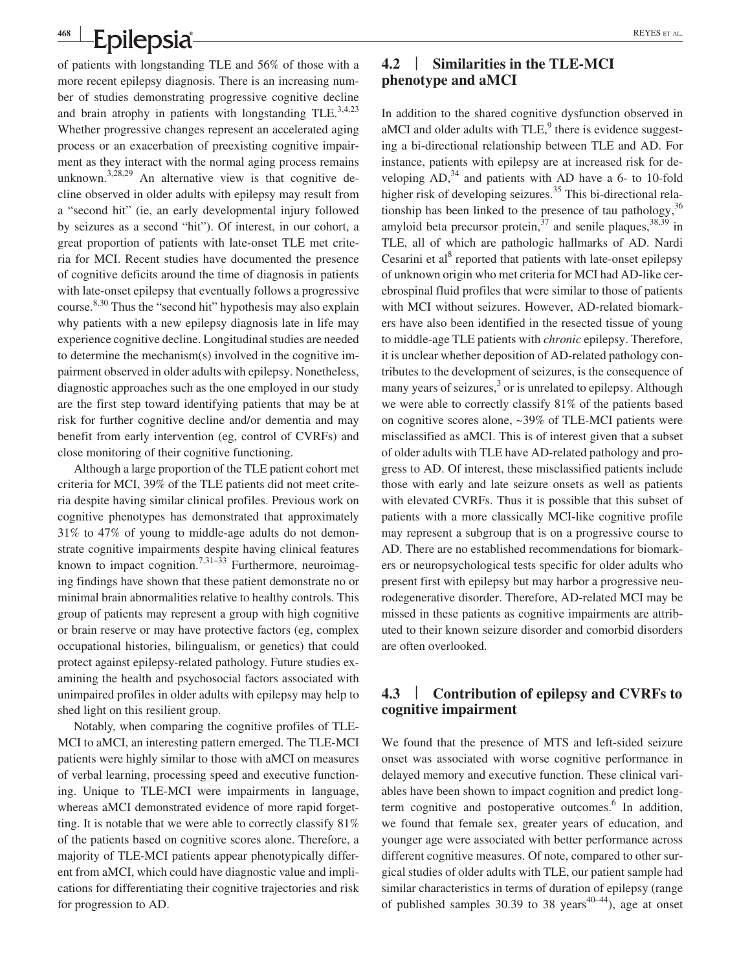#### **<sup>468</sup> <sup>|</sup> Epilepsia REYES ET AL.**

of patients with longstanding TLE and 56% of those with a more recent epilepsy diagnosis. There is an increasing number of studies demonstrating progressive cognitive decline and brain atrophy in patients with longstanding TLE. $^{3,4,23}$ Whether progressive changes represent an accelerated aging process or an exacerbation of preexisting cognitive impairment as they interact with the normal aging process remains unknown.<sup>3,28,29</sup> An alternative view is that cognitive decline observed in older adults with epilepsy may result from a "second hit" (ie, an early developmental injury followed by seizures as a second "hit"). Of interest, in our cohort, a great proportion of patients with late-onset TLE met criteria for MCI. Recent studies have documented the presence of cognitive deficits around the time of diagnosis in patients with late-onset epilepsy that eventually follows a progressive course.8,30 Thus the "second hit" hypothesis may also explain why patients with a new epilepsy diagnosis late in life may experience cognitive decline. Longitudinal studies are needed to determine the mechanism(s) involved in the cognitive impairment observed in older adults with epilepsy. Nonetheless, diagnostic approaches such as the one employed in our study are the first step toward identifying patients that may be at risk for further cognitive decline and/or dementia and may benefit from early intervention (eg, control of CVRFs) and close monitoring of their cognitive functioning.

Although a large proportion of the TLE patient cohort met criteria for MCI, 39% of the TLE patients did not meet criteria despite having similar clinical profiles. Previous work on cognitive phenotypes has demonstrated that approximately 31% to 47% of young to middle-age adults do not demonstrate cognitive impairments despite having clinical features known to impact cognition.<sup>7,31–33</sup> Furthermore, neuroimaging findings have shown that these patient demonstrate no or minimal brain abnormalities relative to healthy controls. This group of patients may represent a group with high cognitive or brain reserve or may have protective factors (eg, complex occupational histories, bilingualism, or genetics) that could protect against epilepsy-related pathology. Future studies examining the health and psychosocial factors associated with unimpaired profiles in older adults with epilepsy may help to shed light on this resilient group.

Notably, when comparing the cognitive profiles of TLE-MCI to aMCI, an interesting pattern emerged. The TLE-MCI patients were highly similar to those with aMCI on measures of verbal learning, processing speed and executive functioning. Unique to TLE-MCI were impairments in language, whereas aMCI demonstrated evidence of more rapid forgetting. It is notable that we were able to correctly classify 81% of the patients based on cognitive scores alone. Therefore, a majority of TLE-MCI patients appear phenotypically different from aMCI, which could have diagnostic value and implications for differentiating their cognitive trajectories and risk for progression to AD.

### **4.2** | **Similarities in the TLE-MCI phenotype and aMCI**

In addition to the shared cognitive dysfunction observed in aMCI and older adults with  $TLE<sup>9</sup>$ , there is evidence suggesting a bi-directional relationship between TLE and AD. For instance, patients with epilepsy are at increased risk for developing  $AD<sub>1</sub><sup>34</sup>$  and patients with AD have a 6- to 10-fold higher risk of developing seizures.<sup>35</sup> This bi-directional relationship has been linked to the presence of tau pathology,  $36$ amyloid beta precursor protein,  $37$  and senile plaques,  $38,39$  in TLE, all of which are pathologic hallmarks of AD. Nardi Cesarini et al<sup>8</sup> reported that patients with late-onset epilepsy of unknown origin who met criteria for MCI had AD-like cerebrospinal fluid profiles that were similar to those of patients with MCI without seizures. However, AD-related biomarkers have also been identified in the resected tissue of young to middle-age TLE patients with *chronic* epilepsy. Therefore, it is unclear whether deposition of AD-related pathology contributes to the development of seizures, is the consequence of many years of seizures,<sup>3</sup> or is unrelated to epilepsy. Although we were able to correctly classify 81% of the patients based on cognitive scores alone, ~39% of TLE-MCI patients were misclassified as aMCI. This is of interest given that a subset of older adults with TLE have AD-related pathology and progress to AD. Of interest, these misclassified patients include those with early and late seizure onsets as well as patients with elevated CVRFs. Thus it is possible that this subset of patients with a more classically MCI-like cognitive profile may represent a subgroup that is on a progressive course to AD. There are no established recommendations for biomarkers or neuropsychological tests specific for older adults who present first with epilepsy but may harbor a progressive neurodegenerative disorder. Therefore, AD-related MCI may be missed in these patients as cognitive impairments are attributed to their known seizure disorder and comorbid disorders are often overlooked.

### **4.3** | **Contribution of epilepsy and CVRFs to cognitive impairment**

We found that the presence of MTS and left-sided seizure onset was associated with worse cognitive performance in delayed memory and executive function. These clinical variables have been shown to impact cognition and predict longterm cognitive and postoperative outcomes.<sup>6</sup> In addition, we found that female sex, greater years of education, and younger age were associated with better performance across different cognitive measures. Of note, compared to other surgical studies of older adults with TLE, our patient sample had similar characteristics in terms of duration of epilepsy (range of published samples 30.39 to 38 years<sup>40–44</sup>), age at onset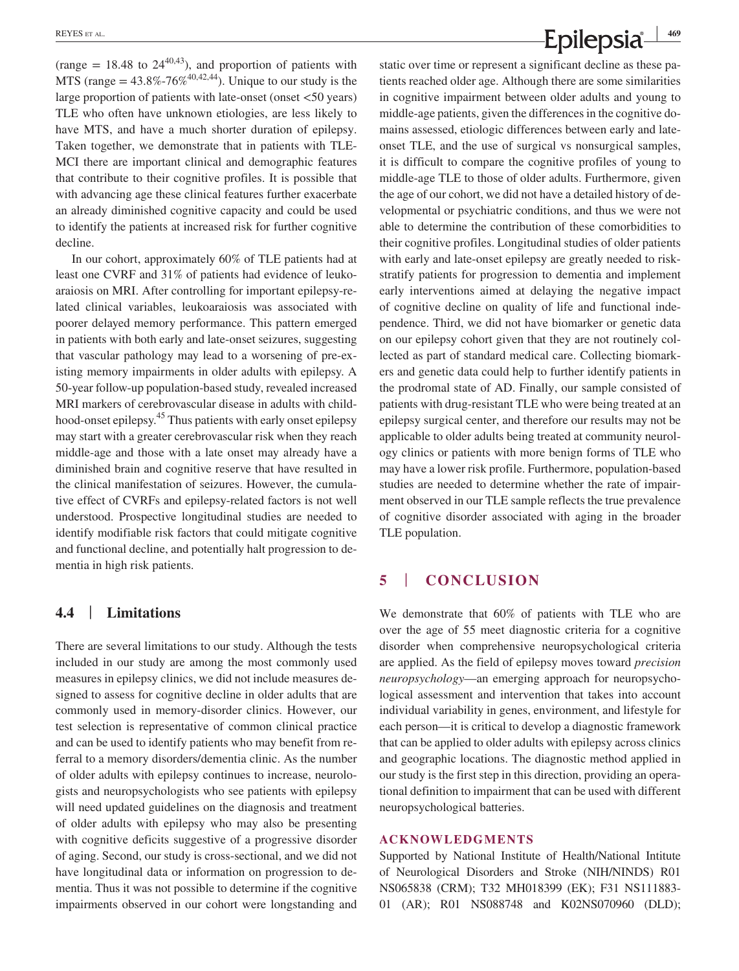(range  $= 18.48$  to  $24^{40,43}$ ), and proportion of patients with MTS (range =  $43.8\% - 76\% + 40.42.44$ ). Unique to our study is the large proportion of patients with late-onset (onset <50 years) TLE who often have unknown etiologies, are less likely to have MTS, and have a much shorter duration of epilepsy. Taken together, we demonstrate that in patients with TLE-MCI there are important clinical and demographic features that contribute to their cognitive profiles. It is possible that with advancing age these clinical features further exacerbate an already diminished cognitive capacity and could be used to identify the patients at increased risk for further cognitive decline.

In our cohort, approximately 60% of TLE patients had at least one CVRF and 31% of patients had evidence of leukoaraiosis on MRI. After controlling for important epilepsy-related clinical variables, leukoaraiosis was associated with poorer delayed memory performance. This pattern emerged in patients with both early and late-onset seizures, suggesting that vascular pathology may lead to a worsening of pre-existing memory impairments in older adults with epilepsy. A 50-year follow-up population-based study, revealed increased MRI markers of cerebrovascular disease in adults with childhood-onset epilepsy.<sup>45</sup> Thus patients with early onset epilepsy may start with a greater cerebrovascular risk when they reach middle-age and those with a late onset may already have a diminished brain and cognitive reserve that have resulted in the clinical manifestation of seizures. However, the cumulative effect of CVRFs and epilepsy-related factors is not well understood. Prospective longitudinal studies are needed to identify modifiable risk factors that could mitigate cognitive and functional decline, and potentially halt progression to dementia in high risk patients.

#### **4.4** | **Limitations**

There are several limitations to our study. Although the tests included in our study are among the most commonly used measures in epilepsy clinics, we did not include measures designed to assess for cognitive decline in older adults that are commonly used in memory-disorder clinics. However, our test selection is representative of common clinical practice and can be used to identify patients who may benefit from referral to a memory disorders/dementia clinic. As the number of older adults with epilepsy continues to increase, neurologists and neuropsychologists who see patients with epilepsy will need updated guidelines on the diagnosis and treatment of older adults with epilepsy who may also be presenting with cognitive deficits suggestive of a progressive disorder of aging. Second, our study is cross-sectional, and we did not have longitudinal data or information on progression to dementia. Thus it was not possible to determine if the cognitive impairments observed in our cohort were longstanding and static over time or represent a significant decline as these patients reached older age. Although there are some similarities in cognitive impairment between older adults and young to middle-age patients, given the differences in the cognitive domains assessed, etiologic differences between early and lateonset TLE, and the use of surgical vs nonsurgical samples, it is difficult to compare the cognitive profiles of young to middle-age TLE to those of older adults. Furthermore, given the age of our cohort, we did not have a detailed history of developmental or psychiatric conditions, and thus we were not able to determine the contribution of these comorbidities to their cognitive profiles. Longitudinal studies of older patients with early and late-onset epilepsy are greatly needed to riskstratify patients for progression to dementia and implement early interventions aimed at delaying the negative impact of cognitive decline on quality of life and functional independence. Third, we did not have biomarker or genetic data on our epilepsy cohort given that they are not routinely collected as part of standard medical care. Collecting biomarkers and genetic data could help to further identify patients in the prodromal state of AD. Finally, our sample consisted of patients with drug-resistant TLE who were being treated at an epilepsy surgical center, and therefore our results may not be applicable to older adults being treated at community neurology clinics or patients with more benign forms of TLE who may have a lower risk profile. Furthermore, population-based studies are needed to determine whether the rate of impairment observed in our TLE sample reflects the true prevalence of cognitive disorder associated with aging in the broader TLE population.

### **5** | **CONCLUSION**

We demonstrate that 60% of patients with TLE who are over the age of 55 meet diagnostic criteria for a cognitive disorder when comprehensive neuropsychological criteria are applied. As the field of epilepsy moves toward *precision neuropsychology*—an emerging approach for neuropsychological assessment and intervention that takes into account individual variability in genes, environment, and lifestyle for each person—it is critical to develop a diagnostic framework that can be applied to older adults with epilepsy across clinics and geographic locations. The diagnostic method applied in our study is the first step in this direction, providing an operational definition to impairment that can be used with different neuropsychological batteries.

#### **ACKNOWLEDGMENTS**

Supported by National Institute of Health/National Intitute of Neurological Disorders and Stroke (NIH/NINDS) R01 NS065838 (CRM); T32 MH018399 (EK); F31 NS111883- 01 (AR); R01 NS088748 and K02NS070960 (DLD);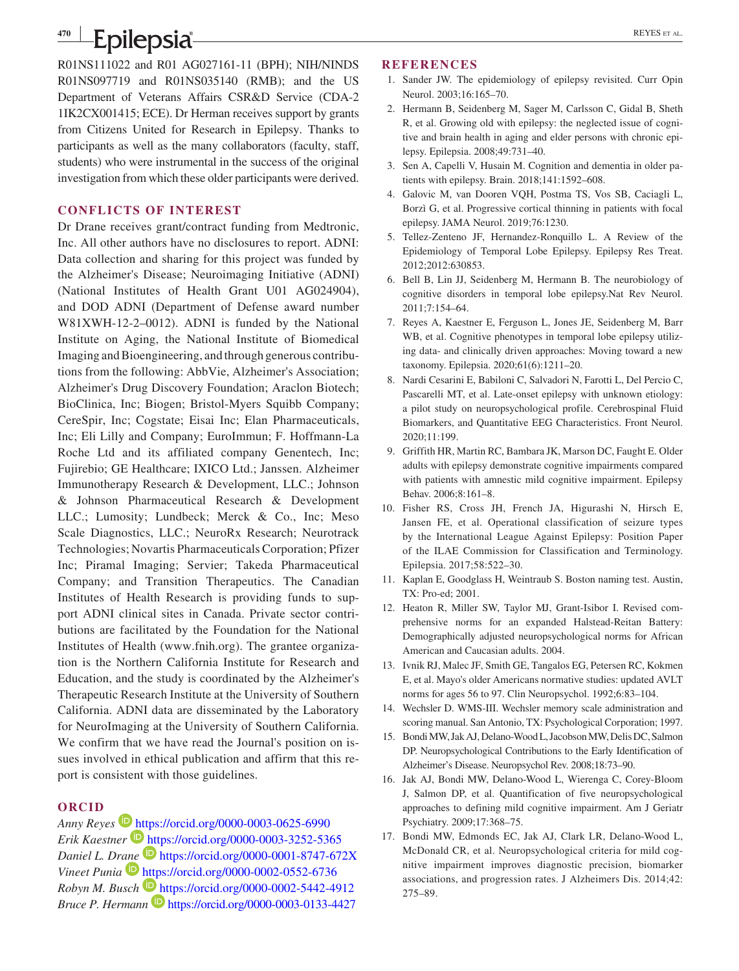**<sup>470</sup> <sup>|</sup> Epilepsia REYES ET AL.** 

R01NS111022 and R01 AG027161-11 (BPH); NIH/NINDS R01NS097719 and R01NS035140 (RMB); and the US Department of Veterans Affairs CSR&D Service (CDA-2 1IK2CX001415; ECE). Dr Herman receives support by grants from Citizens United for Research in Epilepsy. Thanks to participants as well as the many collaborators (faculty, staff, students) who were instrumental in the success of the original investigation from which these older participants were derived.

#### **CONFLICTS OF INTEREST**

Dr Drane receives grant/contract funding from Medtronic, Inc. All other authors have no disclosures to report. ADNI: Data collection and sharing for this project was funded by the Alzheimer's Disease; Neuroimaging Initiative (ADNI) (National Institutes of Health Grant U01 AG024904), and DOD ADNI (Department of Defense award number W81XWH-12-2–0012). ADNI is funded by the National Institute on Aging, the National Institute of Biomedical Imaging and Bioengineering, and through generous contributions from the following: AbbVie, Alzheimer's Association; Alzheimer's Drug Discovery Foundation; Araclon Biotech; BioClinica, Inc; Biogen; Bristol-Myers Squibb Company; CereSpir, Inc; Cogstate; Eisai Inc; Elan Pharmaceuticals, Inc; Eli Lilly and Company; EuroImmun; F. Hoffmann-La Roche Ltd and its affiliated company Genentech, Inc; Fujirebio; GE Healthcare; IXICO Ltd.; Janssen. Alzheimer Immunotherapy Research & Development, LLC.; Johnson & Johnson Pharmaceutical Research & Development LLC.; Lumosity; Lundbeck; Merck & Co., Inc; Meso Scale Diagnostics, LLC.; NeuroRx Research; Neurotrack Technologies; Novartis Pharmaceuticals Corporation; Pfizer Inc; Piramal Imaging; Servier; Takeda Pharmaceutical Company; and Transition Therapeutics. The Canadian Institutes of Health Research is providing funds to support ADNI clinical sites in Canada. Private sector contributions are facilitated by the Foundation for the National Institutes of Health ([www.fnih.org\)](http://www.fnih.org). The grantee organization is the Northern California Institute for Research and Education, and the study is coordinated by the Alzheimer's Therapeutic Research Institute at the University of Southern California. ADNI data are disseminated by the Laboratory for NeuroImaging at the University of Southern California. We confirm that we have read the Journal's position on issues involved in ethical publication and affirm that this report is consistent with those guidelines.

#### **ORCID**

*Anny Reyes* **<https://orcid.org/0000-0003-0625-6990>** *Erik Kaestner* **b** <https://orcid.org/0000-0003-3252-5365> *Daniel L. Dr[ane](https://orcid.org/0000-0002-0552-6736)* <https://orcid.org/0000-0001-8747-672X> *Vineet Punia* **<https://orcid.org/0000-0002-0552-6736>** *Robyn M. Busch* <https://orcid.org/0000-0002-5442-4912> *Bruce P. Hermann* **D** <https://orcid.org/0000-0003-0133-4427>

#### **REFERENCES**

- 1. Sander JW. The epidemiology of epilepsy revisited. Curr Opin Neurol. 2003;16:165–70.
- 2. Hermann B, Seidenberg M, Sager M, Carlsson C, Gidal B, Sheth R, et al. Growing old with epilepsy: the neglected issue of cognitive and brain health in aging and elder persons with chronic epilepsy. Epilepsia. 2008;49:731–40.
- 3. Sen A, Capelli V, Husain M. Cognition and dementia in older patients with epilepsy. Brain. 2018;141:1592–608.
- 4. Galovic M, van Dooren VQH, Postma TS, Vos SB, Caciagli L, Borzì G, et al. Progressive cortical thinning in patients with focal epilepsy. JAMA Neurol. 2019;76:1230.
- 5. Tellez-Zenteno JF, Hernandez-Ronquillo L. A Review of the Epidemiology of Temporal Lobe Epilepsy. Epilepsy Res Treat. 2012;2012:630853.
- 6. Bell B, Lin JJ, Seidenberg M, Hermann B. The neurobiology of cognitive disorders in temporal lobe epilepsy.Nat Rev Neurol. 2011;7:154–64.
- 7. Reyes A, Kaestner E, Ferguson L, Jones JE, Seidenberg M, Barr WB, et al. Cognitive phenotypes in temporal lobe epilepsy utilizing data- and clinically driven approaches: Moving toward a new taxonomy. Epilepsia. 2020;61(6):1211–20.
- 8. Nardi Cesarini E, Babiloni C, Salvadori N, Farotti L, Del Percio C, Pascarelli MT, et al. Late-onset epilepsy with unknown etiology: a pilot study on neuropsychological profile. Cerebrospinal Fluid Biomarkers, and Quantitative EEG Characteristics. Front Neurol. 2020;11:199.
- 9. Griffith HR, Martin RC, Bambara JK, Marson DC, Faught E. Older adults with epilepsy demonstrate cognitive impairments compared with patients with amnestic mild cognitive impairment. Epilepsy Behav. 2006;8:161–8.
- 10. Fisher RS, Cross JH, French JA, Higurashi N, Hirsch E, Jansen FE, et al. Operational classification of seizure types by the International League Against Epilepsy: Position Paper of the ILAE Commission for Classification and Terminology. Epilepsia. 2017;58:522–30.
- 11. Kaplan E, Goodglass H, Weintraub S. Boston naming test. Austin, TX: Pro-ed; 2001.
- 12. Heaton R, Miller SW, Taylor MJ, Grant-Isibor I. Revised comprehensive norms for an expanded Halstead-Reitan Battery: Demographically adjusted neuropsychological norms for African American and Caucasian adults. 2004.
- 13. Ivnik RJ, Malec JF, Smith GE, Tangalos EG, Petersen RC, Kokmen E, et al. Mayo's older Americans normative studies: updated AVLT norms for ages 56 to 97. Clin Neuropsychol. 1992;6:83–104.
- 14. Wechsler D. WMS-III. Wechsler memory scale administration and scoring manual. San Antonio, TX: Psychological Corporation; 1997.
- 15. Bondi MW, Jak AJ, Delano-Wood L, Jacobson MW, Delis DC, Salmon DP. Neuropsychological Contributions to the Early Identification of Alzheimer's Disease. Neuropsychol Rev. 2008;18:73–90.
- 16. Jak AJ, Bondi MW, Delano-Wood L, Wierenga C, Corey-Bloom J, Salmon DP, et al. Quantification of five neuropsychological approaches to defining mild cognitive impairment. Am J Geriatr Psychiatry. 2009;17:368–75.
- 17. Bondi MW, Edmonds EC, Jak AJ, Clark LR, Delano-Wood L, McDonald CR, et al. Neuropsychological criteria for mild cognitive impairment improves diagnostic precision, biomarker associations, and progression rates. J Alzheimers Dis. 2014;42: 275–89.